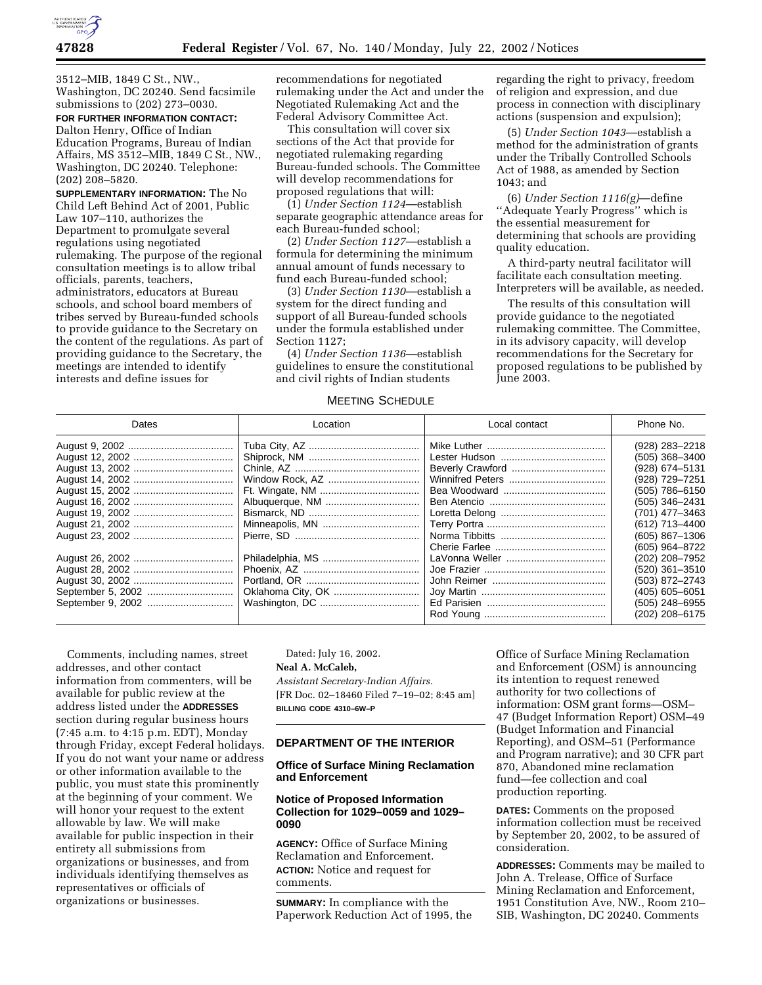

3512–MIB, 1849 C St., NW., Washington, DC 20240. Send facsimile submissions to (202) 273–0030.

**FOR FURTHER INFORMATION CONTACT:** Dalton Henry, Office of Indian Education Programs, Bureau of Indian Affairs, MS 3512–MIB, 1849 C St., NW., Washington, DC 20240. Telephone: (202) 208–5820.

**SUPPLEMENTARY INFORMATION:** The No Child Left Behind Act of 2001, Public Law 107–110, authorizes the Department to promulgate several regulations using negotiated rulemaking. The purpose of the regional consultation meetings is to allow tribal officials, parents, teachers, administrators, educators at Bureau schools, and school board members of tribes served by Bureau-funded schools to provide guidance to the Secretary on the content of the regulations. As part of providing guidance to the Secretary, the meetings are intended to identify interests and define issues for

recommendations for negotiated rulemaking under the Act and under the Negotiated Rulemaking Act and the Federal Advisory Committee Act.

This consultation will cover six sections of the Act that provide for negotiated rulemaking regarding Bureau-funded schools. The Committee will develop recommendations for proposed regulations that will:

(1) *Under Section 1124*—establish separate geographic attendance areas for each Bureau-funded school;

(2) *Under Section 1127*—establish a formula for determining the minimum annual amount of funds necessary to fund each Bureau-funded school;

(3) *Under Section 1130*—establish a system for the direct funding and support of all Bureau-funded schools under the formula established under Section 1127;

(4) *Under Section 1136*—establish guidelines to ensure the constitutional and civil rights of Indian students

regarding the right to privacy, freedom of religion and expression, and due process in connection with disciplinary actions (suspension and expulsion);

(5) *Under Section 1043*—establish a method for the administration of grants under the Tribally Controlled Schools Act of 1988, as amended by Section 1043; and

(6) *Under Section 1116(g)*—define ''Adequate Yearly Progress'' which is the essential measurement for determining that schools are providing quality education.

A third-party neutral facilitator will facilitate each consultation meeting. Interpreters will be available, as needed.

The results of this consultation will provide guidance to the negotiated rulemaking committee. The Committee, in its advisory capacity, will develop recommendations for the Secretary for proposed regulations to be published by June 2003.

# MEETING SCHEDULE

| Dates | Location        | Local contact | Phone No.                                                                                                                                                          |
|-------|-----------------|---------------|--------------------------------------------------------------------------------------------------------------------------------------------------------------------|
|       | Window Rock, AZ |               | (928) 283-2218<br>$(505)$ 368-3400<br>(928) 674-5131<br>(928) 729-7251<br>(505) 786-6150<br>$(505)$ 346-2431<br>(701) 477-3463<br>(612) 713-4400<br>(605) 867-1306 |
|       |                 |               | (605) 964-8722<br>(202) 208-7952<br>(520) 361-3510<br>(503) 872-2743<br>(405) 605-6051<br>$(505)$ 248-6955<br>(202) 208-6175                                       |

Comments, including names, street addresses, and other contact information from commenters, will be available for public review at the address listed under the **ADDRESSES** section during regular business hours (7:45 a.m. to 4:15 p.m. EDT), Monday through Friday, except Federal holidays. If you do not want your name or address or other information available to the public, you must state this prominently at the beginning of your comment. We will honor your request to the extent allowable by law. We will make available for public inspection in their entirety all submissions from organizations or businesses, and from individuals identifying themselves as representatives or officials of organizations or businesses.

Dated: July 16, 2002. **Neal A. McCaleb,**  *Assistant Secretary-Indian Affairs.* [FR Doc. 02–18460 Filed 7–19–02; 8:45 am] **BILLING CODE 4310–6W–P**

#### **DEPARTMENT OF THE INTERIOR**

## **Office of Surface Mining Reclamation and Enforcement**

#### **Notice of Proposed Information Collection for 1029–0059 and 1029– 0090**

**AGENCY:** Office of Surface Mining Reclamation and Enforcement. **ACTION:** Notice and request for comments.

**SUMMARY:** In compliance with the Paperwork Reduction Act of 1995, the

Office of Surface Mining Reclamation and Enforcement (OSM) is announcing its intention to request renewed authority for two collections of information: OSM grant forms—OSM– 47 (Budget Information Report) OSM–49 (Budget Information and Financial Reporting), and OSM–51 (Performance and Program narrative); and 30 CFR part 870, Abandoned mine reclamation fund—fee collection and coal production reporting.

**DATES:** Comments on the proposed information collection must be received by September 20, 2002, to be assured of consideration.

**ADDRESSES:** Comments may be mailed to John A. Trelease, Office of Surface Mining Reclamation and Enforcement, 1951 Constitution Ave, NW., Room 210– SIB, Washington, DC 20240. Comments